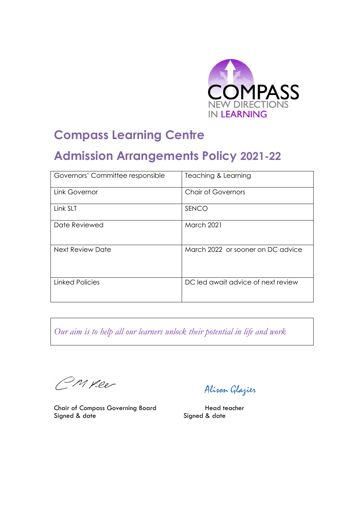

# **Compass Learning Centre**

# **Admission Arrangements Policy 2021-22**

| Governors' Committee responsible | Teaching & Learning                |  |
|----------------------------------|------------------------------------|--|
| Link Governor                    | <b>Chair of Governors</b>          |  |
| Link SLT                         | <b>SENCO</b>                       |  |
| Date Reviewed                    | <b>March 2021</b>                  |  |
| Next Review Date                 | March 2022 or sooner on DC advice  |  |
| <b>Linked Policies</b>           | DC led await advice of next review |  |

*Our aim is to help all our learners unlock their potential in life and work*

M yeer

Chair of Compass Governing Board Head teacher Signed & date Signed & date

Alison Glazier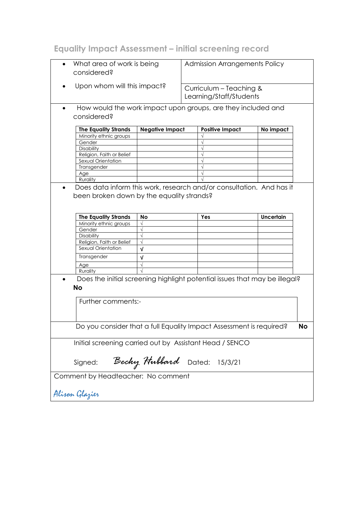# **Equality Impact Assessment – initial screening record**

| What area of work is being<br>considered?                                               |                                                              | <b>Admission Arrangements Policy</b> |                                                    |  |  |
|-----------------------------------------------------------------------------------------|--------------------------------------------------------------|--------------------------------------|----------------------------------------------------|--|--|
| ٠                                                                                       | Upon whom will this impact?                                  |                                      | Curriculum - Teaching &<br>Learning/Staff/Students |  |  |
| $\bullet$                                                                               | How would the work impact upon groups, are they included and |                                      |                                                    |  |  |
| considered?                                                                             |                                                              |                                      |                                                    |  |  |
| <b>The Equality Strands</b>                                                             | <b>Negative Impact</b>                                       | <b>Positive Impact</b>               | No impact                                          |  |  |
| Minority ethnic groups                                                                  |                                                              |                                      |                                                    |  |  |
| Gender                                                                                  |                                                              |                                      |                                                    |  |  |
| Disability                                                                              |                                                              |                                      |                                                    |  |  |
| Religion, Faith or Belief                                                               |                                                              |                                      |                                                    |  |  |
| Sexual Orientation                                                                      |                                                              |                                      |                                                    |  |  |
| Transgender                                                                             |                                                              |                                      |                                                    |  |  |
| Age                                                                                     |                                                              |                                      |                                                    |  |  |
| Rurality                                                                                |                                                              |                                      |                                                    |  |  |
| been broken down by the equality strands?                                               |                                                              |                                      |                                                    |  |  |
| <b>The Equality Strands</b>                                                             | No                                                           | Yes                                  | Uncertain                                          |  |  |
| Minority ethnic groups                                                                  |                                                              |                                      |                                                    |  |  |
| Gender                                                                                  |                                                              |                                      |                                                    |  |  |
| <b>Disability</b>                                                                       |                                                              |                                      |                                                    |  |  |
| Religion, Faith or Belief                                                               |                                                              |                                      |                                                    |  |  |
| Sexual Orientation                                                                      | v                                                            |                                      |                                                    |  |  |
| Transgender                                                                             | v                                                            |                                      |                                                    |  |  |
| Age                                                                                     |                                                              |                                      |                                                    |  |  |
| Rurality                                                                                |                                                              |                                      |                                                    |  |  |
| Does the initial screening highlight potential issues that may be illegal?<br><b>No</b> |                                                              |                                      |                                                    |  |  |
|                                                                                         |                                                              |                                      |                                                    |  |  |
| Further comments:-                                                                      |                                                              |                                      |                                                    |  |  |
| Do you consider that a full Equality Impact Assessment is required?<br><b>No</b>        |                                                              |                                      |                                                    |  |  |
|                                                                                         |                                                              |                                      |                                                    |  |  |
| Initial screening carried out by Assistant Head / SENCO                                 |                                                              |                                      |                                                    |  |  |
| Becky Hubbard Dated: 15/3/21<br>Signed:                                                 |                                                              |                                      |                                                    |  |  |
| Comment by Headteacher: No comment                                                      |                                                              |                                      |                                                    |  |  |
| Alisan Glazier                                                                          |                                                              |                                      |                                                    |  |  |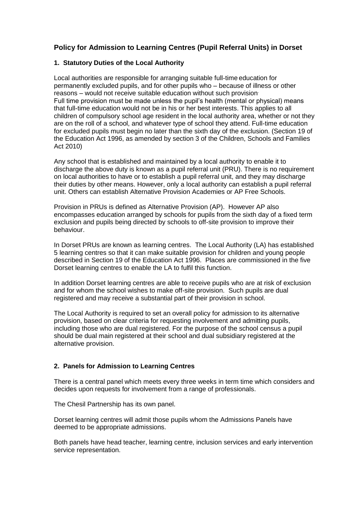## **Policy for Admission to Learning Centres (Pupil Referral Units) in Dorset**

#### **1. Statutory Duties of the Local Authority**

Local authorities are responsible for arranging suitable full-time education for permanently excluded pupils, and for other pupils who – because of illness or other reasons – would not receive suitable education without such provision. Full time provision must be made unless the pupil's health (mental or physical) means that full-time education would not be in his or her best interests. This applies to all children of compulsory school age resident in the local authority area, whether or not they are on the roll of a school, and whatever type of school they attend. Full-time education for excluded pupils must begin no later than the sixth day of the exclusion. (Section 19 of the Education Act 1996, as amended by section 3 of the Children, Schools and Families Act 2010)

Any school that is established and maintained by a local authority to enable it to discharge the above duty is known as a pupil referral unit (PRU). There is no requirement on local authorities to have or to establish a pupil referral unit, and they may discharge their duties by other means. However, only a local authority can establish a pupil referral unit. Others can establish Alternative Provision Academies or AP Free Schools.

Provision in PRUs is defined as Alternative Provision (AP). However AP also encompasses education arranged by schools for pupils from the sixth day of a fixed term exclusion and pupils being directed by schools to off-site provision to improve their behaviour.

In Dorset PRUs are known as learning centres. The Local Authority (LA) has established 5 learning centres so that it can make suitable provision for children and young people described in Section 19 of the Education Act 1996. Places are commissioned in the five Dorset learning centres to enable the LA to fulfil this function.

In addition Dorset learning centres are able to receive pupils who are at risk of exclusion and for whom the school wishes to make off-site provision. Such pupils are dual registered and may receive a substantial part of their provision in school.

The Local Authority is required to set an overall policy for admission to its alternative provision, based on clear criteria for requesting involvement and admitting pupils, including those who are dual registered. For the purpose of the school census a pupil should be dual main registered at their school and dual subsidiary registered at the alternative provision.

#### **2. Panels for Admission to Learning Centres**

There is a central panel which meets every three weeks in term time which considers and decides upon requests for involvement from a range of professionals.

The Chesil Partnership has its own panel.

Dorset learning centres will admit those pupils whom the Admissions Panels have deemed to be appropriate admissions.

Both panels have head teacher, learning centre, inclusion services and early intervention service representation.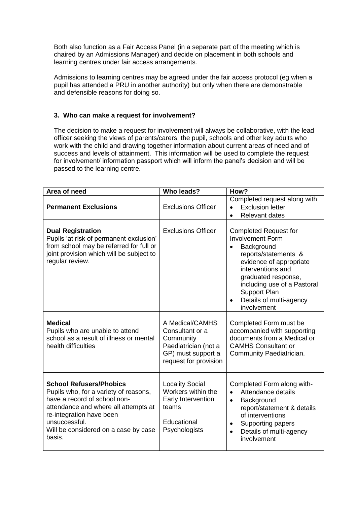Both also function as a Fair Access Panel (in a separate part of the meeting which is chaired by an Admissions Manager) and decide on placement in both schools and learning centres under fair access arrangements.

Admissions to learning centres may be agreed under the fair access protocol (eg when a pupil has attended a PRU in another authority) but only when there are demonstrable and defensible reasons for doing so.

#### **3. Who can make a request for involvement?**

The decision to make a request for involvement will always be collaborative, with the lead officer seeking the views of parents/carers, the pupil, schools and other key adults who work with the child and drawing together information about current areas of need and of success and levels of attainment. This information will be used to complete the request for involvement/ information passport which will inform the panel's decision and will be passed to the learning centre.

| Area of need                                                                                                                                                                                                                                   | <b>Who leads?</b>                                                                                                      | How?                                                                                                                                                                                                                                                                              |
|------------------------------------------------------------------------------------------------------------------------------------------------------------------------------------------------------------------------------------------------|------------------------------------------------------------------------------------------------------------------------|-----------------------------------------------------------------------------------------------------------------------------------------------------------------------------------------------------------------------------------------------------------------------------------|
| <b>Permanent Exclusions</b>                                                                                                                                                                                                                    | <b>Exclusions Officer</b>                                                                                              | Completed request along with<br><b>Exclusion letter</b><br>$\bullet$<br><b>Relevant dates</b><br>$\bullet$                                                                                                                                                                        |
| <b>Dual Registration</b><br>Pupils 'at risk of permanent exclusion'<br>from school may be referred for full or<br>joint provision which will be subject to<br>regular review.                                                                  | <b>Exclusions Officer</b>                                                                                              | <b>Completed Request for</b><br><b>Involvement Form</b><br>Background<br>reports/statements &<br>evidence of appropriate<br>interventions and<br>graduated response,<br>including use of a Pastoral<br><b>Support Plan</b><br>Details of multi-agency<br>$\bullet$<br>involvement |
| <b>Medical</b><br>Pupils who are unable to attend<br>school as a result of illness or mental<br>health difficulties                                                                                                                            | A Medical/CAMHS<br>Consultant or a<br>Community<br>Paediatrician (not a<br>GP) must support a<br>request for provision | Completed Form must be<br>accompanied with supporting<br>documents from a Medical or<br><b>CAMHS Consultant or</b><br>Community Paediatrician.                                                                                                                                    |
| <b>School Refusers/Phobics</b><br>Pupils who, for a variety of reasons,<br>have a record of school non-<br>attendance and where all attempts at<br>re-integration have been<br>unsuccessful.<br>Will be considered on a case by case<br>basis. | <b>Locality Social</b><br>Workers within the<br>Early Intervention<br>teams<br>Educational<br>Psychologists            | Completed Form along with-<br>Attendance details<br>$\bullet$<br>Background<br>$\bullet$<br>report/statement & details<br>of interventions<br>Supporting papers<br>$\bullet$<br>Details of multi-agency<br>$\bullet$<br>involvement                                               |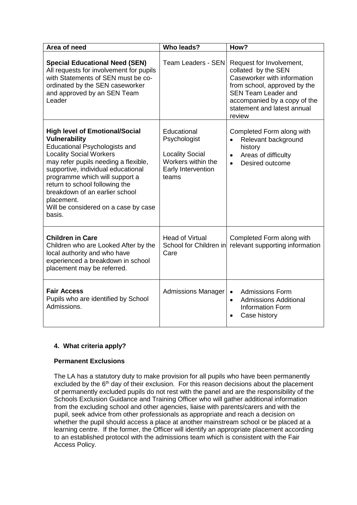| Area of need                                                                                                                                                                                                                                                                                                                                                                                | <b>Who leads?</b>                                                                                          | How?                                                                                                                                                                                                                  |
|---------------------------------------------------------------------------------------------------------------------------------------------------------------------------------------------------------------------------------------------------------------------------------------------------------------------------------------------------------------------------------------------|------------------------------------------------------------------------------------------------------------|-----------------------------------------------------------------------------------------------------------------------------------------------------------------------------------------------------------------------|
| <b>Special Educational Need (SEN)</b><br>All requests for involvement for pupils<br>with Statements of SEN must be co-<br>ordinated by the SEN caseworker<br>and approved by an SEN Team<br>Leader                                                                                                                                                                                          | <b>Team Leaders - SEN</b>                                                                                  | Request for Involvement,<br>collated by the SEN<br>Caseworker with information<br>from school, approved by the<br><b>SEN Team Leader and</b><br>accompanied by a copy of the<br>statement and latest annual<br>review |
| <b>High level of Emotional/Social</b><br><b>Vulnerability</b><br><b>Educational Psychologists and</b><br><b>Locality Social Workers</b><br>may refer pupils needing a flexible,<br>supportive, individual educational<br>programme which will support a<br>return to school following the<br>breakdown of an earlier school<br>placement.<br>Will be considered on a case by case<br>basis. | Educational<br>Psychologist<br><b>Locality Social</b><br>Workers within the<br>Early Intervention<br>teams | Completed Form along with<br>Relevant background<br>$\bullet$<br>history<br>Areas of difficulty<br>$\bullet$<br>Desired outcome<br>$\bullet$                                                                          |
| <b>Children in Care</b><br>Children who are Looked After by the<br>local authority and who have<br>experienced a breakdown in school<br>placement may be referred.                                                                                                                                                                                                                          | <b>Head of Virtual</b><br>School for Children in<br>Care                                                   | Completed Form along with<br>relevant supporting information                                                                                                                                                          |
| <b>Fair Access</b><br>Pupils who are identified by School<br>Admissions.                                                                                                                                                                                                                                                                                                                    | Admissions Manager                                                                                         | <b>Admissions Form</b><br>$\bullet$<br><b>Admissions Additional</b><br>$\bullet$<br><b>Information Form</b><br>Case history<br>$\bullet$                                                                              |

### **4. What criteria apply?**

### **Permanent Exclusions**

The LA has a statutory duty to make provision for all pupils who have been permanently excluded by the 6<sup>th</sup> day of their exclusion. For this reason decisions about the placement of permanently excluded pupils do not rest with the panel and are the responsibility of the Schools Exclusion Guidance and Training Officer who will gather additional information from the excluding school and other agencies, liaise with parents/carers and with the pupil, seek advice from other professionals as appropriate and reach a decision on whether the pupil should access a place at another mainstream school or be placed at a learning centre. If the former, the Officer will identify an appropriate placement according to an established protocol with the admissions team which is consistent with the Fair Access Policy.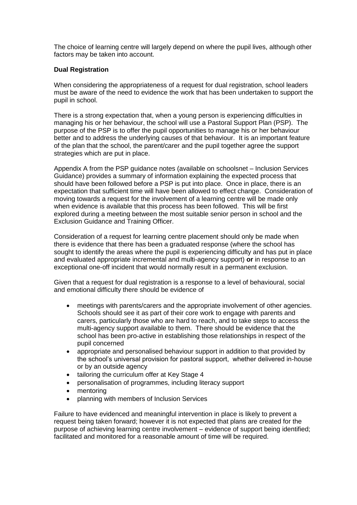The choice of learning centre will largely depend on where the pupil lives, although other factors may be taken into account.

#### **Dual Registration**

When considering the appropriateness of a request for dual registration, school leaders must be aware of the need to evidence the work that has been undertaken to support the pupil in school.

There is a strong expectation that, when a young person is experiencing difficulties in managing his or her behaviour, the school will use a Pastoral Support Plan (PSP). The purpose of the PSP is to offer the pupil opportunities to manage his or her behaviour better and to address the underlying causes of that behaviour. It is an important feature of the plan that the school, the parent/carer and the pupil together agree the support strategies which are put in place.

Appendix A from the PSP guidance notes (available on schoolsnet – Inclusion Services Guidance) provides a summary of information explaining the expected process that should have been followed before a PSP is put into place. Once in place, there is an expectation that sufficient time will have been allowed to effect change. Consideration of moving towards a request for the involvement of a learning centre will be made only when evidence is available that this process has been followed. This will be first explored during a meeting between the most suitable senior person in school and the Exclusion Guidance and Training Officer.

Consideration of a request for learning centre placement should only be made when there is evidence that there has been a graduated response (where the school has sought to identify the areas where the pupil is experiencing difficulty and has put in place and evaluated appropriate incremental and multi-agency support) **or** in response to an exceptional one-off incident that would normally result in a permanent exclusion.

Given that a request for dual registration is a response to a level of behavioural, social and emotional difficulty there should be evidence of

- meetings with parents/carers and the appropriate involvement of other agencies. Schools should see it as part of their core work to engage with parents and carers, particularly those who are hard to reach, and to take steps to access the multi-agency support available to them. There should be evidence that the school has been pro-active in establishing those relationships in respect of the pupil concerned
- appropriate and personalised behaviour support in addition to that provided by the school's universal provision for pastoral support, whether delivered in-house or by an outside agency
- tailoring the curriculum offer at Key Stage 4
- personalisation of programmes, including literacy support
- mentoring
- planning with members of Inclusion Services

Failure to have evidenced and meaningful intervention in place is likely to prevent a request being taken forward; however it is not expected that plans are created for the purpose of achieving learning centre involvement – evidence of support being identified; facilitated and monitored for a reasonable amount of time will be required.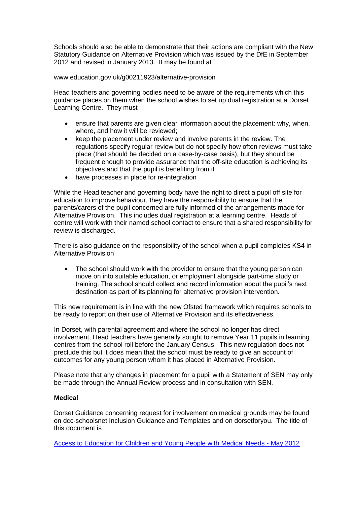Schools should also be able to demonstrate that their actions are compliant with the New Statutory Guidance on Alternative Provision which was issued by the DfE in September 2012 and revised in January 2013. It may be found at

www.education.gov.uk/g00211923/alternative-provision

Head teachers and governing bodies need to be aware of the requirements which this guidance places on them when the school wishes to set up dual registration at a Dorset Learning Centre. They must

- ensure that parents are given clear information about the placement: why, when, where, and how it will be reviewed;
- keep the placement under review and involve parents in the review. The regulations specify regular review but do not specify how often reviews must take place (that should be decided on a case-by-case basis), but they should be frequent enough to provide assurance that the off-site education is achieving its objectives and that the pupil is benefiting from it
- have processes in place for re-integration

While the Head teacher and governing body have the right to direct a pupil off site for education to improve behaviour, they have the responsibility to ensure that the parents/carers of the pupil concerned are fully informed of the arrangements made for Alternative Provision. This includes dual registration at a learning centre. Heads of centre will work with their named school contact to ensure that a shared responsibility for review is discharged.

There is also guidance on the responsibility of the school when a pupil completes KS4 in Alternative Provision

 The school should work with the provider to ensure that the young person can move on into suitable education, or employment alongside part-time study or training. The school should collect and record information about the pupil's next destination as part of its planning for alternative provision intervention.

This new requirement is in line with the new Ofsted framework which requires schools to be ready to report on their use of Alternative Provision and its effectiveness.

In Dorset, with parental agreement and where the school no longer has direct involvement, Head teachers have generally sought to remove Year 11 pupils in learning centres from the school roll before the January Census. This new regulation does not preclude this but it does mean that the school must be ready to give an account of outcomes for any young person whom it has placed in Alternative Provision.

Please note that any changes in placement for a pupil with a Statement of SEN may only be made through the Annual Review process and in consultation with SEN.

#### **Medical**

Dorset Guidance concerning request for involvement on medical grounds may be found on dcc-schoolsnet Inclusion Guidance and Templates and on dorsetforyou. The title of this document is

[Access to Education for Children and Young People with Medical Needs -](http://www.dorsetforyou.com/media.jsp?mediaid=159634&filetype=pdf) May 2012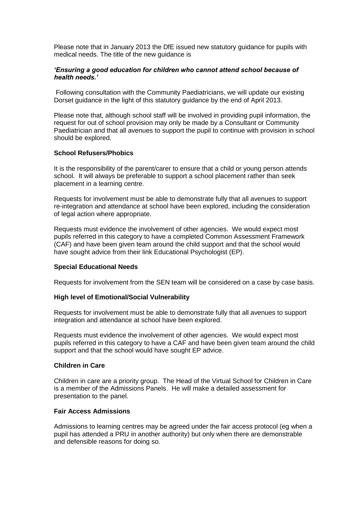Please note that in January 2013 the DfE issued new statutory guidance for pupils with medical needs. The title of the new guidance is

#### *'Ensuring a good education for children who cannot attend school because of health needs.'*

Following consultation with the Community Paediatricians, we will update our existing Dorset guidance in the light of this statutory guidance by the end of April 2013.

Please note that, although school staff will be involved in providing pupil information, the request for out of school provision may only be made by a Consultant or Community Paediatrician and that all avenues to support the pupil to continue with provision in school should be explored.

#### **School Refusers/Phobics**

It is the responsibility of the parent/carer to ensure that a child or young person attends school. It will always be preferable to support a school placement rather than seek placement in a learning centre.

Requests for involvement must be able to demonstrate fully that all avenues to support re-integration and attendance at school have been explored, including the consideration of legal action where appropriate.

Requests must evidence the involvement of other agencies. We would expect most pupils referred in this category to have a completed Common Assessment Framework (CAF) and have been given team around the child support and that the school would have sought advice from their link Educational Psychologist (EP).

#### **Special Educational Needs**

Requests for involvement from the SEN team will be considered on a case by case basis.

#### **High level of Emotional/Social Vulnerability**

Requests for involvement must be able to demonstrate fully that all avenues to support integration and attendance at school have been explored.

Requests must evidence the involvement of other agencies. We would expect most pupils referred in this category to have a CAF and have been given team around the child support and that the school would have sought EP advice.

#### **Children in Care**

Children in care are a priority group. The Head of the Virtual School for Children in Care is a member of the Admissions Panels. He will make a detailed assessment for presentation to the panel.

#### **Fair Access Admissions**

Admissions to learning centres may be agreed under the fair access protocol (eg when a pupil has attended a PRU in another authority) but only when there are demonstrable and defensible reasons for doing so.